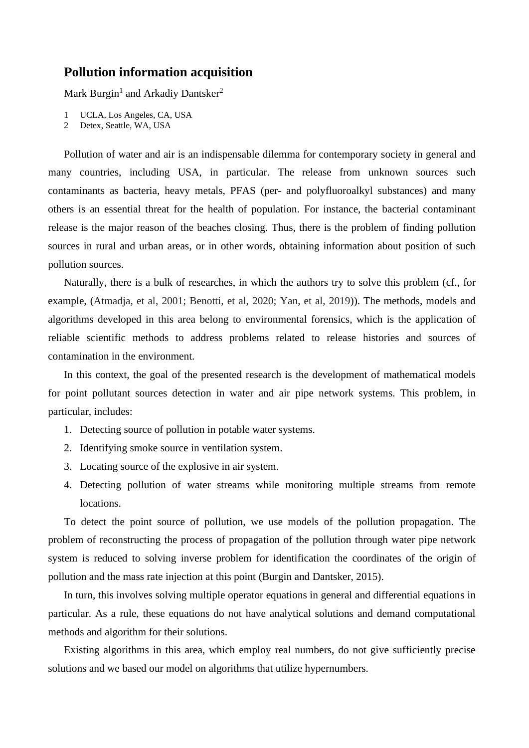## **Pollution information acquisition**

Mark Burgin<sup>1</sup> and Arkadiy Dantsker<sup>2</sup>

- 1 UCLA, Los Angeles, CA, USA
- 2 Detex, Seattle, WA, USA

Pollution of water and air is an indispensable dilemma for contemporary society in general and many countries, including USA, in particular. The release from unknown sources such contaminants as bacteria, heavy metals, PFAS (per- and polyfluoroalkyl substances) and many others is an essential threat for the health of population. For instance, the bacterial contaminant release is the major reason of the beaches closing. Thus, there is the problem of finding pollution sources in rural and urban areas, or in other words, obtaining information about position of such pollution sources.

Naturally, there is a bulk of researches, in which the authors try to solve this problem (cf., for example, (Atmadja, et al, 2001; Benotti, et al, 2020; Yan, et al, 2019)). The methods, models and algorithms developed in this area belong to environmental forensics, which is the application of reliable scientific methods to address problems related to release histories and sources of contamination in the environment.

In this context, the goal of the presented research is the development of mathematical models for point pollutant sources detection in water and air pipe network systems. This problem, in particular, includes:

- 1. Detecting source of pollution in potable water systems.
- 2. Identifying smoke source in ventilation system.
- 3. Locating source of the explosive in air system.
- 4. Detecting pollution of water streams while monitoring multiple streams from remote locations.

To detect the point source of pollution, we use models of the pollution propagation. The problem of reconstructing the process of propagation of the pollution through water pipe network system is reduced to solving inverse problem for identification the coordinates of the origin of pollution and the mass rate injection at this point (Burgin and Dantsker, 2015).

In turn, this involves solving multiple operator equations in general and differential equations in particular. As a rule, these equations do not have analytical solutions and demand computational methods and algorithm for their solutions.

Existing algorithms in this area, which employ real numbers, do not give sufficiently precise solutions and we based our model on algorithms that utilize hypernumbers.